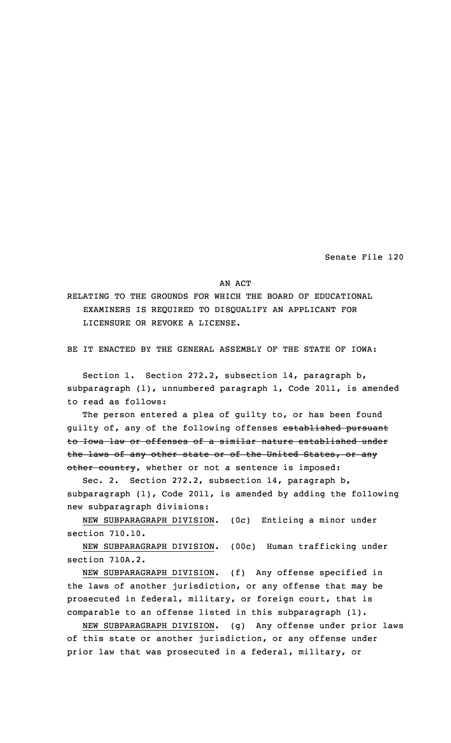Senate File 120

## AN ACT

RELATING TO THE GROUNDS FOR WHICH THE BOARD OF EDUCATIONAL EXAMINERS IS REQUIRED TO DISQUALIFY AN APPLICANT FOR LICENSURE OR REVOKE A LICENSE.

BE IT ENACTED BY THE GENERAL ASSEMBLY OF THE STATE OF IOWA:

Section 1. Section 272.2, subsection 14, paragraph b, subparagraph (1), unnumbered paragraph 1, Code 2011, is amended to read as follows:

The person entered a plea of guilty to, or has been found guilty of, any of the following offenses established pursuant to Iowa law or offenses of <sup>a</sup> similar nature established under the laws of any other state or of the United States, or any other country, whether or not a sentence is imposed:

Sec. 2. Section 272.2, subsection 14, paragraph b, subparagraph (1), Code 2011, is amended by adding the following new subparagraph divisions:

NEW SUBPARAGRAPH DIVISION. (0c) Enticing <sup>a</sup> minor under section 710.10.

NEW SUBPARAGRAPH DIVISION. (00c) Human trafficking under section 710A.2.

NEW SUBPARAGRAPH DIVISION. (f) Any offense specified in the laws of another jurisdiction, or any offense that may be prosecuted in federal, military, or foreign court, that is comparable to an offense listed in this subparagraph (1).

NEW SUBPARAGRAPH DIVISION. (g) Any offense under prior laws of this state or another jurisdiction, or any offense under prior law that was prosecuted in <sup>a</sup> federal, military, or